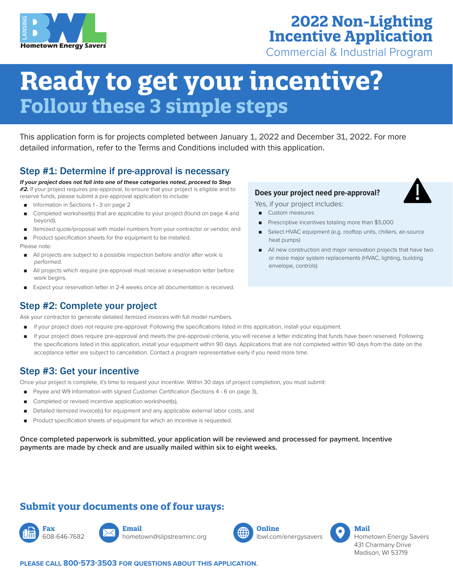

## **2022 Non-Lighting Incentive Application**

Commercial & Industrial Program

# **Ready to get your incentive? Follow these 3 simple steps**

This application form is for projects completed between January 1, 2022 and December 31, 2022. For more detailed information, refer to the Terms and Conditions included with this application.

## Step #1: Determine if pre-approval is necessary

*If your project does not fall into one of these categories noted, proceed to Step #2.* If your project requires pre-approval, to ensure that your project is eligible and to reserve funds, please submit a pre-approval application to include:

- Information in Sections 1 3 on page 2
- Completed worksheet(s) that are applicable to your project (found on page 4 and beyond),
- Itemized quote/proposal with model numbers from your contractor or vendor, and
- Product specification sheets for the equipment to be installed.

Please note:

- All projects are subject to a possible inspection before and/or after work is performed.
- All projects which require pre-approval must receive a reservation letter before work begins.
- Expect your reservation letter in 2-4 weeks once all documentation is received.

## Step #2: Complete your project

Ask your contractor to generate detailed itemized invoices with full model numbers.

- If your project does not require pre-approval: Following the specifications listed in this application, install your equipment.
- If your project does require pre-approval and meets the pre-approval criteria, you will receive a letter indicating that funds have been reserved. Following the specifications listed in this application, install your equipment within 90 days. Applications that are not completed within 90 days from the date on the acceptance letter are subject to cancellation. Contact a program representative early if you need more time.

### Step #3: Get your incentive

Once your project is complete, it's time to request your incentive. Within 30 days of project completion, you must submit:

- Payee and W9 Information with signed Customer Certification (Sections 4 6 on page 3),
- Completed or revised incentive application worksheet(s),
- Detailed itemized invoice(s) for equipment and any applicable external labor costs, and
- Product specification sheets of equipment for which an incentive is requested.

**Once completed paperwork is submitted, your application will be reviewed and processed for payment. Incentive payments are made by check and are usually mailed within six to eight weeks.**

## **Submit your documents one of four ways:**





hometown@slipstreaminc.org



lbwl.com/energysavers



Hometown Energy Savers 431 Charmany Drive Madison, WI 53719

#### **PLEASE CALL 800-573-3503 FOR QUESTIONS ABOUT THIS APPLICATION.**

#### **Does your project need pre-approval?**

Yes, if your project includes:

- Custom measures
- Prescriptive incentives totaling more than \$5,000
- Select HVAC equipment (e.g. rooftop units, chillers, air-source heat pumps)
- All new construction and major renovation projects that have two or more major system replacements (HVAC, lighting, building envelope, controls)

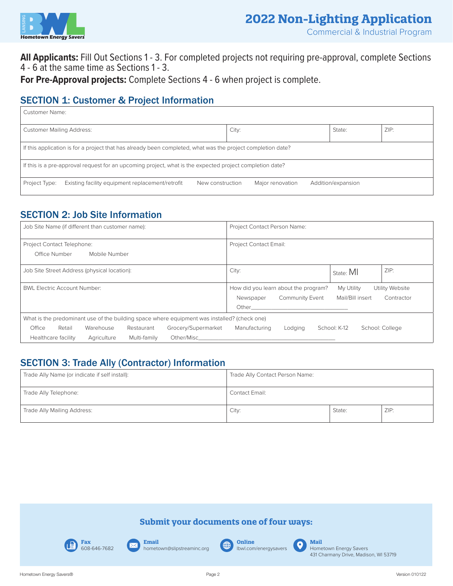

**All Applicants:** Fill Out Sections 1 - 3. For completed projects not requiring pre-approval, complete Sections 4 - 6 at the same time as Sections 1 - 3.

**For Pre-Approval projects:** Complete Sections 4 - 6 when project is complete.

## SECTION 1: Customer & Project Information

| Customer Name:                                                                                           |                                                                                                             |                  |                  |                    |  |  |  |  |
|----------------------------------------------------------------------------------------------------------|-------------------------------------------------------------------------------------------------------------|------------------|------------------|--------------------|--|--|--|--|
| ZIP:<br><b>Customer Mailing Address:</b><br>City:<br>State:                                              |                                                                                                             |                  |                  |                    |  |  |  |  |
|                                                                                                          | If this application is for a project that has already been completed, what was the project completion date? |                  |                  |                    |  |  |  |  |
| If this is a pre-approval request for an upcoming project, what is the expected project completion date? |                                                                                                             |                  |                  |                    |  |  |  |  |
| Project Type:                                                                                            | Existing facility equipment replacement/retrofit                                                            | New construction | Major renovation | Addition/expansion |  |  |  |  |

## SECTION 2: Job Site Information

| Job Site Name (if different than customer name):                                                                                                                     | Project Contact Person Name:                                                                                   |  |  |  |
|----------------------------------------------------------------------------------------------------------------------------------------------------------------------|----------------------------------------------------------------------------------------------------------------|--|--|--|
| Project Contact Telephone:<br>Office Number<br>Mobile Number                                                                                                         | <b>Project Contact Email:</b>                                                                                  |  |  |  |
|                                                                                                                                                                      |                                                                                                                |  |  |  |
| Job Site Street Address (physical location):                                                                                                                         | ZIP:<br>City:<br>State: MI                                                                                     |  |  |  |
| <b>BWL Electric Account Number:</b>                                                                                                                                  | How did you learn about the program?<br>My Utility<br>Utility Website                                          |  |  |  |
|                                                                                                                                                                      | Mail/Bill insert<br><b>Community Event</b><br>Contractor<br>Newspaper                                          |  |  |  |
|                                                                                                                                                                      | Other than the contract of the contract of the contract of the contract of the contract of the contract of the |  |  |  |
| What is the predominant use of the building space where equipment was installed? (check one)                                                                         |                                                                                                                |  |  |  |
| Office<br>Grocery/Supermarket<br>Retail<br>Warehouse<br>Restaurant                                                                                                   | Manufacturing<br>School: K-12<br>School: College<br>Lodging                                                    |  |  |  |
| Multi-family<br>Other/Mischender and the control of the control of the control of the control of the control of the control of<br>Healthcare facility<br>Agriculture |                                                                                                                |  |  |  |

## SECTION 3: Trade Ally (Contractor) Information

| Trade Ally Name (or indicate if self install): | Trade Ally Contact Person Name: |        |      |
|------------------------------------------------|---------------------------------|--------|------|
| Trade Ally Telephone:                          | Contact Email:                  |        |      |
| Trade Ally Mailing Address:                    | City:                           | State: | ZIP: |

### **Submit your documents one of four ways:**



**Email** hometown@slipstreaminc.org

 $\overline{\mathbf{\times}}$ 







431 Charmany Drive, Madison, WI 53719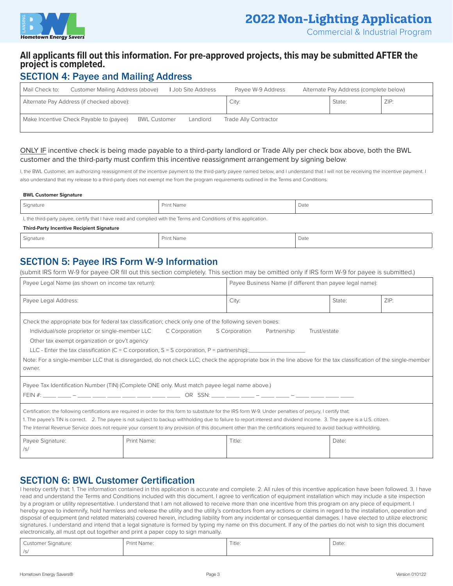

Commercial & Industrial Program

### **All applicants fill out this information. For pre-approved projects, this may be submitted AFTER the project is completed.**

## SECTION 4: Payee and Mailing Address

| Mail Check to: | Customer Mailing Address (above)          |                     | Job Site Address | Payee W-9 Address     | Alternate Pay Address (complete below) |      |
|----------------|-------------------------------------------|---------------------|------------------|-----------------------|----------------------------------------|------|
|                | Alternate Pay Address (if checked above): |                     |                  | City:                 | State:                                 | ZIP: |
|                | Make Incentive Check Payable to (payee)   | <b>BWL Customer</b> | Landlord         | Trade Ally Contractor |                                        |      |

#### ONLY IF incentive check is being made payable to a third-party landlord or Trade Ally per check box above, both the BWL customer and the third-party must confirm this incentive reassignment arrangement by signing below:

I, the BWL Customer, am authorizing reassignment of the incentive payment to the third-party payee named below, and I understand that I will not be receiving the incentive payment. I also understand that my release to a third-party does not exempt me from the program requirements outlined in the Terms and Conditions.

#### **BWL Customer Signature**

| Signature                                                                                                          | <b>Print Name</b> | Date |  |  |  |
|--------------------------------------------------------------------------------------------------------------------|-------------------|------|--|--|--|
| I, the third-party payee, certify that I have read and complied with the Terms and Conditions of this application. |                   |      |  |  |  |
| <b>Third-Party Incentive Recipient Signature</b>                                                                   |                   |      |  |  |  |
| Signature                                                                                                          | <b>Print Name</b> | Date |  |  |  |

## SECTION 5: Payee IRS Form W-9 Information

(submit IRS form W-9 for payee OR fill out this section completely. This section may be omitted only if IRS form W-9 for payee is submitted.)

| Payee Legal Name (as shown on income tax return):                                                                                                                                                                                                                                                                                                                                                                                                                                                                                                        |                                                                                               | Payee Business Name (if different than payee legal name): |        |      |  |  |
|----------------------------------------------------------------------------------------------------------------------------------------------------------------------------------------------------------------------------------------------------------------------------------------------------------------------------------------------------------------------------------------------------------------------------------------------------------------------------------------------------------------------------------------------------------|-----------------------------------------------------------------------------------------------|-----------------------------------------------------------|--------|------|--|--|
| Payee Legal Address:                                                                                                                                                                                                                                                                                                                                                                                                                                                                                                                                     |                                                                                               | City:                                                     | State: | ZIP: |  |  |
| Check the appropriate box for federal tax classification; check only one of the following seven boxes:<br>Individual/sole proprietor or single-member LLC<br>C Corporation<br>S Corporation<br>Partnership<br>Trust/estate<br>Other tax exempt organization or gov't agency<br>LLC - Enter the tax classification (C = C corporation, S = S corporation, P = partnership):<br>Note: For a single-member LLC that is disregarded, do not check LLC; check the appropriate box in the line above for the tax classification of the single-member<br>owner. |                                                                                               |                                                           |        |      |  |  |
|                                                                                                                                                                                                                                                                                                                                                                                                                                                                                                                                                          | Payee Tax Identification Number (TIN) (Complete ONE only. Must match payee legal name above.) |                                                           |        |      |  |  |
| Certification: the following certifications are required in order for this form to substitute for the IRS form W-9. Under penalties of perjury, I certify that:<br>1. The payee's TIN is correct. 2. The payee is not subject to backup withholding due to failure to report interest and dividend income. 3. The payee is a U.S. citizen.<br>The Internal Revenue Service does not require your consent to any provision of this document other than the certifications required to avoid backup withholding.                                           |                                                                                               |                                                           |        |      |  |  |
| Payee Signature:<br>Print Name:<br>Title:<br>Date:<br>/s/                                                                                                                                                                                                                                                                                                                                                                                                                                                                                                |                                                                                               |                                                           |        |      |  |  |

### SECTION 6: BWL Customer Certification

I hereby certify that: 1. The information contained in this application is accurate and complete. 2. All rules of this incentive application have been followed. 3. I have read and understand the Terms and Conditions included with this document. I agree to verification of equipment installation which may include a site inspection by a program or utility representative. I understand that I am not allowed to receive more than one incentive from this program on any piece of equipment. I hereby agree to indemnify, hold harmless and release the utility and the utility's contractors from any actions or claims in regard to the installation, operation and disposal of equipment (and related materials) covered herein, including liability from any incidental or consequential damages. I have elected to utilize electronic signatures. I understand and intend that a legal signature is formed by typing my name on this document. If any of the parties do not wish to sign this document electronically, all must opt out together and print a paper copy to sign manually.

| Customer Signature: | Print Name: | Title: | Date: |
|---------------------|-------------|--------|-------|
| /s/                 |             |        |       |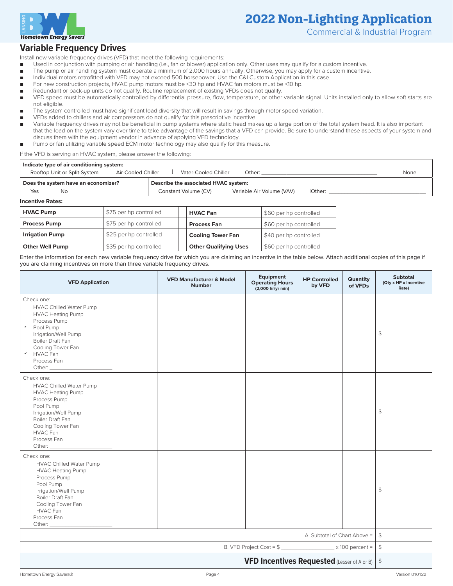

Commercial & Industrial Program

### **Variable Frequency Drives**

Install new variable frequency drives (VFD) that meet the following requirements:

- Used in conjunction with pumping or air handling (i.e., fan or blower) application only. Other uses may qualify for a custom incentive.
- The pump or air handling system must operate a minimum of 2,000 hours annually. Otherwise, you may apply for a custom incentive.
- Individual motors retrofitted with VFD may not exceed 500 horsepower. Use the C&I Custom Application in this case.
- For new construction projects, HVAC pump motors must be <30 hp and HVAC fan motors must be <10 hp.
- Redundant or back-up units do not qualify. Routine replacement of existing VFDs does not qualify.
- VFD speed must be automatically controlled by differential pressure, flow, temperature, or other variable signal. Units installed only to allow soft starts are not eligible.
- The system controlled must have significant load diversity that will result in savings through motor speed variation.
- VFDs added to chillers and air compressors do not qualify for this prescriptive incentive.
- Variable frequency drives may not be beneficial in pump systems where static head makes up a large portion of the total system head. It is also important that the load on the system vary over time to take advantage of the savings that a VFD can provide. Be sure to understand these aspects of your system and discuss them with the equipment vendor in advance of applying VFD technology.
- Pump or fan utilizing variable speed ECM motor technology may also qualify for this measure.

If the VFD is serving an HVAC system, please answer the following:

| Indicate type of air conditioning system:                                   |                      |                           |        |      |  |  |  |  |
|-----------------------------------------------------------------------------|----------------------|---------------------------|--------|------|--|--|--|--|
| Rooftop Unit or Split-System<br>Air-Cooled Chiller                          | Vater-Cooled Chiller | Other:                    |        | None |  |  |  |  |
| Describe the associated HVAC system:<br>Does the system have an economizer? |                      |                           |        |      |  |  |  |  |
| Yes<br>No                                                                   | Constant Volume (CV) | Variable Air Volume (VAV) | Other: |      |  |  |  |  |
| <b>Incentive Rates:</b>                                                     |                      |                           |        |      |  |  |  |  |

| <b>HVAC Pump</b>       | \$75 per hp controlled | <b>HVAC Fan</b>              | \$60 per hp controlled |
|------------------------|------------------------|------------------------------|------------------------|
| <b>Process Pump</b>    | \$75 per hp controlled | <b>Process Fan</b>           | \$60 per hp controlled |
| <b>Irrigation Pump</b> | \$25 per hp controlled | <b>Cooling Tower Fan</b>     | \$40 per hp controlled |
| <b>Other Well Pump</b> | \$35 per hp controlled | <b>Other Qualifying Uses</b> | \$60 per hp controlled |

Enter the information for each new variable frequency drive for which you are claiming an incentive in the table below. Attach additional copies of this page if you are claiming incentives on more than three variable frequency drives.

| <b>VFD Application</b>                                                                                                                                                                                                                                                                                                                                                                                                                             | <b>VFD Manufacturer &amp; Model</b><br><b>Number</b> | Equipment<br><b>Operating Hours</b><br>(2,000 hr/yr min) | <b>HP Controlled</b><br>by VFD | Quantity<br>of VFDs | <b>Subtotal</b><br>(Qty x HP x Incentive<br>Rate) |
|----------------------------------------------------------------------------------------------------------------------------------------------------------------------------------------------------------------------------------------------------------------------------------------------------------------------------------------------------------------------------------------------------------------------------------------------------|------------------------------------------------------|----------------------------------------------------------|--------------------------------|---------------------|---------------------------------------------------|
| Check one:<br>HVAC Chilled Water Pump<br><b>HVAC Heating Pump</b><br>Process Pump<br>$\mathsf{v}$ Pool Pump<br>Irrigation/Well Pump<br><b>Boiler Draft Fan</b><br>Cooling Tower Fan<br>V HVAC Fan<br>Process Fan<br>Other: The Company of the Company of the Company of the Company of the Company of the Company of the Company of the Company of the Company of the Company of the Company of the Company of the Company of the Company of the C |                                                      |                                                          |                                |                     | \$                                                |
| Check one:<br><b>HVAC Chilled Water Pump</b><br><b>HVAC Heating Pump</b><br>Process Pump<br>Pool Pump<br>Irrigation/Well Pump<br><b>Boiler Draft Fan</b><br>Cooling Tower Fan<br>HVAC Fan<br>Process Fan<br>Other:                                                                                                                                                                                                                                 |                                                      |                                                          |                                |                     | $\mathfrak{P}$                                    |
| Check one:<br><b>HVAC Chilled Water Pump</b><br><b>HVAC Heating Pump</b><br>Process Pump<br>Pool Pump<br>Irrigation/Well Pump<br>Boiler Draft Fan<br>Cooling Tower Fan<br><b>HVAC Fan</b><br>Process Fan                                                                                                                                                                                                                                           |                                                      |                                                          |                                |                     | $\mathfrak{P}$                                    |
|                                                                                                                                                                                                                                                                                                                                                                                                                                                    |                                                      |                                                          | A. Subtotal of Chart Above =   |                     | $\frac{4}{3}$                                     |
|                                                                                                                                                                                                                                                                                                                                                                                                                                                    |                                                      |                                                          |                                |                     | $\frac{4}{5}$                                     |
| <b>VFD Incentives Requested</b> (Lesser of A or B)                                                                                                                                                                                                                                                                                                                                                                                                 |                                                      |                                                          |                                |                     | $\frac{1}{2}$                                     |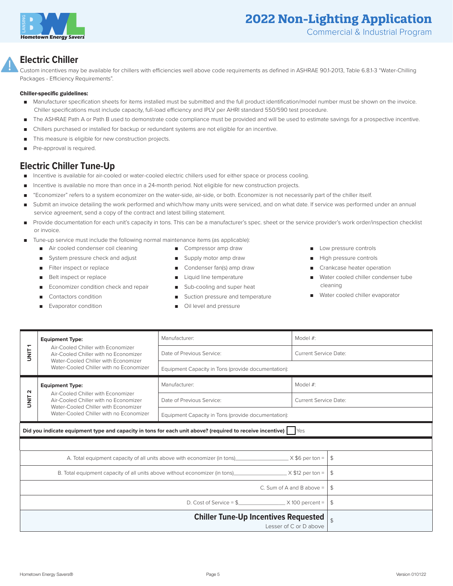

### **Electric Chiller**

Custom incentives may be available for chillers with efficiencies well above code requirements as defined in ASHRAE 90.1-2013, Table 6.8.1-3 "Water-Chilling Packages - Efficiency Requirements".

#### Chiller-specific guidelines:

- Manufacturer specification sheets for items installed must be submitted and the full product identification/model number must be shown on the invoice. Chiller specifications must include capacity, full-load efficiency and IPLV per AHRI standard 550/590 test procedure.
- The ASHRAE Path A or Path B used to demonstrate code compliance must be provided and will be used to estimate savings for a prospective incentive.
- Chillers purchased or installed for backup or redundant systems are not eligible for an incentive.
- This measure is eligible for new construction projects.
- Pre-approval is required.

### **Electric Chiller Tune-Up**

- Incentive is available for air-cooled or water-cooled electric chillers used for either space or process cooling.
- Incentive is available no more than once in a 24-month period. Not eligible for new construction projects.
- "Economizer" refers to a system economizer on the water-side, air-side, or both. Economizer is not necessarily part of the chiller itself.
- Submit an invoice detailing the work performed and which/how many units were serviced, and on what date. If service was performed under an annual service agreement, send a copy of the contract and latest billing statement.
- Provide documentation for each unit's capacity in tons. This can be a manufacturer's spec. sheet or the service provider's work order/inspection checklist or invoice.
- Tune-up service must include the following normal maintenance items (as applicable):
	- Air cooled condenser coil cleaning
	- System pressure check and adjust
	- Filter inspect or replace
	- Belt inspect or replace
	- Economizer condition check and repair
	- Contactors condition
	- Evaporator condition
- Compressor amp draw
- Supply motor amp draw
- Condenser fan(s) amp draw
- Liquid line temperature
- Sub-cooling and super heat
- Suction pressure and temperature
- Oil level and pressure
- Low pressure controls
- High pressure controls
- Crankcase heater operation
- Water cooled chiller condenser tube cleaning
- Water cooled chiller evaporator

| <b>Equipment Type:</b><br>↽                                                                                                      |                                                                                                                     | Manufacturer:                                                         | Model #:                     |  |  |  |
|----------------------------------------------------------------------------------------------------------------------------------|---------------------------------------------------------------------------------------------------------------------|-----------------------------------------------------------------------|------------------------------|--|--|--|
| Air-Cooled Chiller with Economizer<br>i<br>Isla<br>Air-Cooled Chiller with no Economizer<br>Water-Cooled Chiller with Economizer | Date of Previous Service:                                                                                           | <b>Current Service Date:</b>                                          |                              |  |  |  |
|                                                                                                                                  | Water-Cooled Chiller with no Economizer                                                                             | Equipment Capacity in Tons (provide documentation):                   |                              |  |  |  |
| $\sim$                                                                                                                           | <b>Equipment Type:</b>                                                                                              | Manufacturer:                                                         | Model #:                     |  |  |  |
| <b>UNIT</b>                                                                                                                      | Air-Cooled Chiller with Economizer<br>Air-Cooled Chiller with no Economizer<br>Water-Cooled Chiller with Economizer | Date of Previous Service:                                             | <b>Current Service Date:</b> |  |  |  |
| Water-Cooled Chiller with no Economizer                                                                                          |                                                                                                                     | Equipment Capacity in Tons (provide documentation):                   |                              |  |  |  |
|                                                                                                                                  | Did you indicate equipment type and capacity in tons for each unit above? (required to receive incentive)   Yes     |                                                                       |                              |  |  |  |
|                                                                                                                                  |                                                                                                                     |                                                                       |                              |  |  |  |
| l \$<br>A. Total equipment capacity of all units above with economizer (in tons) $X \$ 6 per ton =                               |                                                                                                                     |                                                                       |                              |  |  |  |
|                                                                                                                                  | B. Total equipment capacity of all units above without economizer (in tons) $\times$ X \$12 per ton =               | \$                                                                    |                              |  |  |  |
| C. Sum of A and B above = $\frac{1}{5}$                                                                                          |                                                                                                                     |                                                                       |                              |  |  |  |
|                                                                                                                                  |                                                                                                                     | D. Cost of Service = $\frac{1}{2}$ X 100 percent =<br>$\mathfrak{L}$  |                              |  |  |  |
|                                                                                                                                  |                                                                                                                     | <b>Chiller Tune-Up Incentives Requested</b><br>Lesser of C or D above |                              |  |  |  |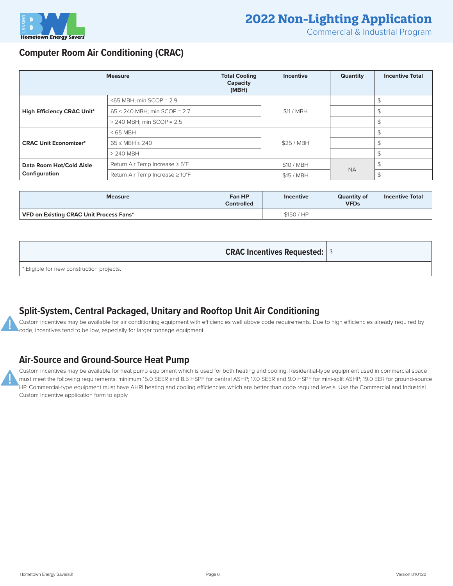

Commercial & Industrial Program

### **Computer Room Air Conditioning (CRAC)**

| <b>Measure</b>                    |                                             | <b>Total Cooling</b><br>Capacity<br>(MBH) | Incentive  | <b>Quantity</b> | <b>Incentive Total</b> |
|-----------------------------------|---------------------------------------------|-------------------------------------------|------------|-----------------|------------------------|
|                                   | $<$ 65 MBH; min SCOP = 2.9                  |                                           |            |                 |                        |
| <b>High Efficiency CRAC Unit*</b> | $65 \le 240$ MBH; min SCOP = 2.7            |                                           | \$11 / MBH |                 |                        |
|                                   | $>$ 240 MBH; min SCOP = 2.5                 |                                           |            |                 |                        |
|                                   | $<$ 65 MBH                                  |                                           |            |                 |                        |
| <b>CRAC Unit Economizer*</b>      | $65 \leq \text{MBH} \leq 240$               |                                           | \$25 / MBH |                 |                        |
|                                   | $> 240$ MBH                                 |                                           |            |                 |                        |
| Data Room Hot/Cold Aisle          | Return Air Temp Increase $\geq 5^{\circ}F$  |                                           | \$10 / MBH | <b>NA</b>       |                        |
| Configuration                     | Return Air Temp Increase $\geq 10^{\circ}F$ |                                           | \$15 / MBH |                 |                        |

| <b>Measure</b>                          | Fan HP<br><b>Controlled</b> | <b>Incentive</b> | <b>Quantity of</b><br><b>VFDs</b> | <b>Incentive Total</b> |
|-----------------------------------------|-----------------------------|------------------|-----------------------------------|------------------------|
| VFD on Existing CRAC Unit Process Fans* |                             | \$150 / HP       |                                   |                        |

**CRAC Incentives Requested:**  $\frac{1}{3}$ 

\* Eligible for new construction projects.

## **Split-System, Central Packaged, Unitary and Rooftop Unit Air Conditioning**

Custom incentives may be available for air conditioning equipment with efficiencies well above code requirements. Due to high efficiencies already required by code, incentives tend to be low, especially for larger tonnage equipment.

### **Air-Source and Ground-Source Heat Pump**

Custom incentives may be available for heat pump equipment which is used for both heating and cooling. Residential-type equipment used in commercial space must meet the following requirements: minimum 15.0 SEER and 8.5 HSPF for central ASHP; 17.0 SEER and 9.0 HSPF for mini-split ASHP; 19.0 EER for ground-source HP. Commercial-type equipment must have AHRI heating and cooling efficiencies which are better than code required levels. Use the Commercial and Industrial Custom Incentive application form to apply.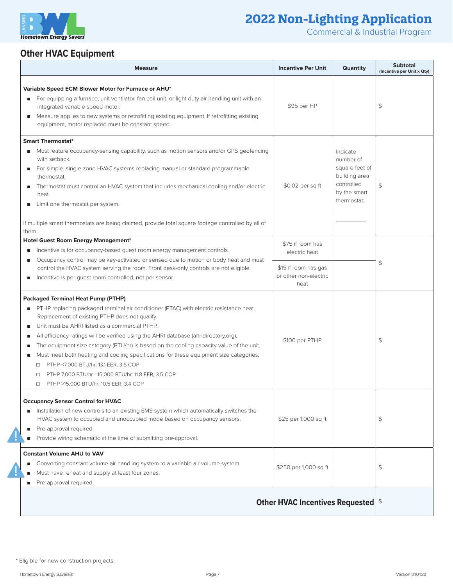

Commercial & Industrial Program

# **Other HVAC Equipment**

| <b>Measure</b>                                                                                                                                                                                                                                                                                                                                                                                                                                                                                                                                                                                                                                                                                                     | <b>Incentive Per Unit</b>                                                                  | Quantity                                                                                              | <b>Subtotal</b><br>(Incentive per Unit x Qty) |
|--------------------------------------------------------------------------------------------------------------------------------------------------------------------------------------------------------------------------------------------------------------------------------------------------------------------------------------------------------------------------------------------------------------------------------------------------------------------------------------------------------------------------------------------------------------------------------------------------------------------------------------------------------------------------------------------------------------------|--------------------------------------------------------------------------------------------|-------------------------------------------------------------------------------------------------------|-----------------------------------------------|
| Variable Speed ECM Blower Motor for Furnace or AHU*<br>For equipping a furnace, unit ventilator, fan coil unit, or light duty air handling unit with an<br>п<br>integrated variable speed motor.<br>Measure applies to new systems or retrofitting existing equipment. If retrofitting existing<br>ш<br>equipment, motor replaced must be constant speed.                                                                                                                                                                                                                                                                                                                                                          | \$95 per HP                                                                                |                                                                                                       | \$                                            |
| <b>Smart Thermostat*</b><br>Must feature occupancy-sensing capability, such as motion sensors and/or GPS geofencing<br>ш<br>with setback.<br>For simple, single-zone HVAC systems replacing manual or standard programmable<br>п<br>thermostat.<br>Thermostat must control an HVAC system that includes mechanical cooling and/or electric<br>п<br>heat.<br>Limit one thermostat per system.<br>п<br>If multiple smart thermostats are being claimed, provide total square footage controlled by all of<br>them.                                                                                                                                                                                                   | $$0.02$ per sq ft                                                                          | Indicate<br>number of<br>square feet of<br>building area<br>controlled<br>by the smart<br>thermostat: | \$                                            |
| Hotel Guest Room Energy Management*<br>Incentive is for occupancy-based quest room energy management controls.<br>п<br>Occupancy control may be key-activated or sensed due to motion or body heat and must<br>п<br>control the HVAC system serving the room. Front desk-only controls are not eligible.<br>Incentive is per quest room controlled, not per sensor.<br>п                                                                                                                                                                                                                                                                                                                                           | \$75 if room has<br>electric heat<br>\$15 if room has gas<br>or other non-electric<br>heat |                                                                                                       | \$                                            |
| <b>Packaged Terminal Heat Pump (PTHP)</b><br>PTHP replacing packaged terminal air conditioner (PTAC) with electric resistance heat.<br>п<br>Replacement of existing PTHP does not qualify.<br>Unit must be AHRI listed as a commercial PTHP.<br>п<br>All efficiency ratings will be verified using the AHRI database (ahridirectory.org).<br>п<br>The equipment size category (BTU/hr) is based on the cooling capacity value of the unit.<br>п<br>Must meet both heating and cooling specifications for these equipment size categories:<br>п<br>PTHP <7,000 BTU/hr: 13.1 EER, 3.6 COP<br>$\Box$<br>PTHP 7,000 BTU/hr - 15,000 BTU/hr: 11.8 EER, 3.5 COP<br>□<br>PTHP >15,000 BTU/hr: 10.5 EER, 3.4 COP<br>$\Box$ | \$100 per PTHP                                                                             |                                                                                                       | \$                                            |
| <b>Occupancy Sensor Control for HVAC</b><br>Installation of new controls to an existing EMS system which automatically switches the<br>HVAC system to occupied and unoccupied mode based on occupancy sensors.<br>Pre-approval required.<br>п<br>Provide wiring schematic at the time of submitting pre-approval.<br>п                                                                                                                                                                                                                                                                                                                                                                                             | \$25 per 1,000 sq ft                                                                       |                                                                                                       | \$                                            |
| <b>Constant Volume AHU to VAV</b><br>Converting constant volume air handling system to a variable air volume system.<br>ш<br>Must have reheat and supply at least four zones.<br>Pre-approval required.<br>п                                                                                                                                                                                                                                                                                                                                                                                                                                                                                                       | \$250 per 1,000 sq ft                                                                      |                                                                                                       | \$                                            |
|                                                                                                                                                                                                                                                                                                                                                                                                                                                                                                                                                                                                                                                                                                                    | <b>Other HVAC Incentives Requested</b> \$                                                  |                                                                                                       |                                               |

<sup>\*</sup> Eligible for new construction projects.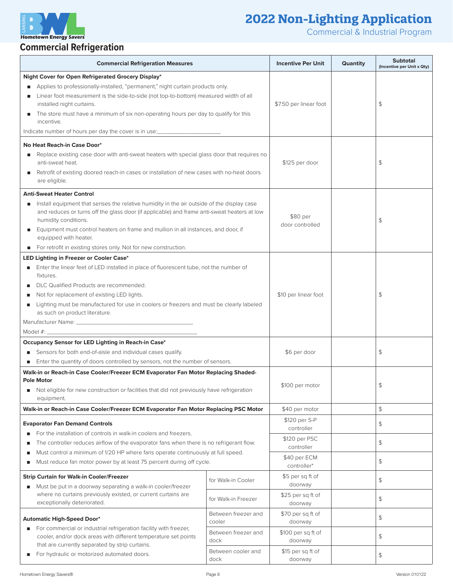**Hometown Energy Savers Commercial Refrigeration**

Commercial & Industrial Program

#### **Commercial Refrigeration Measures Incentive Per Unit Quantity Commercial Refrigeration Measures (Incentive per Unit x Qty) Night Cover for Open Refrigerated Grocery Display\*** ■ Applies to professionally-installed, "permanent," night curtain products only. Linear foot measurement is the side-to-side (not top-to-bottom) measured width of all installed night curtains. ■ The store must have a minimum of six non-operating hours per day to qualify for this incentive. Indicate number of hours per day the cover is in use:  $$7.50$  per linear foot  $\vert$   $\vert$   $\vert$   $\vert$   $\vert$   $\vert$ **No Heat Reach-in Case Door\*** ■ Replace existing case door with anti-sweat heaters with special glass door that requires no anti-sweat heat. ■ Retrofit of existing doored reach-in cases or installation of new cases with no-heat doors are eligible.  $$125$  per door  $\uparrow$ **Anti-Sweat Heater Control** ■ Install equipment that senses the relative humidity in the air outside of the display case and reduces or turns off the glass door (if applicable) and frame anti-sweat heaters at low humidity conditions. ■ Equipment must control heaters on frame and mullion in all instances, and door, if equipped with heater. ■ For retrofit in existing stores only. Not for new construction. \$80 per  $\frac{480 \text{ per}}{8}$ **LED Lighting in Freezer or Cooler Case\***  ■ Enter the linear feet of LED installed in place of fluorescent tube, not the number of fixtures. ■ DLC Qualified Products are recommended. ■ Not for replacement of existing LED lights. Lighting must be manufactured for use in coolers or freezers and must be clearly labeled as such on product literature. Manufacturer Name: Model #:  $$10$  per linear foot  $\vert$  \$ **Occupancy Sensor for LED Lighting in Reach-in Case\*** ■ Sensors for both end-of-aisle and individual cases qualify. ■ Enter the quantity of doors controlled by sensors, not the number of sensors.  $$6 per door$   $$\frac{\$}{$}$ **Walk-in or Reach-in Case Cooler/Freezer ECM Evaporator Fan Motor Replacing Shaded-Pole Motor** Not eligible for new construction or facilities that did not previously have refrigeration equipment.  $$100 per motor$   $$$ **Walk-in or Reach-in Case Cooler/Freezer ECM Evaporator Fan Motor Replacing PSC Motor**  $\qquad$  \$40 per motor  $\qquad$  **\$50 Evaporator Fan Demand Controls** ■ For the installation of controls in walk-in coolers and freezers. The controller reduces airflow of the evaporator fans when there is no refrigerant flow. Must control a minimum of 1/20 HP where fans operate continuously at full speed. ■ Must reduce fan motor power by at least 75 percent during off cycle. \$120 per S-P  $\begin{array}{c|c}\n\text{controler} & & \text{if } \mathbf{S} \\
\hline\n\end{array}$ \$120 per PSC  $\begin{array}{|c|c|c|c|c|}\n\hline\n\text{controller} & & \\\hline\n\end{array}$ \$40 per ECM  $\left| \begin{array}{ccc} \text{control} & \text{if} & \text{if} \\ \text{control} & \text{if} & \text{if} \end{array} \right|$ **Strip Curtain for Walk-in Cooler/Freezer** ■ Must be put in a doorway separating a walk-in cooler/freezer where no curtains previously existed, or current curtains are exceptionally deteriorated. for Walk-in Cooler \$5 per sq ft of  $\begin{array}{c|c}\n\text{down } \\
\text{down } \\
\end{array}$ for Walk-in Freezer  $\left| \right|$  \$25 per sq ft of  $\frac{1}{2}$  doorway  $\frac{1}{2}$ **Automatic High-Speed Door\*** ■ For commercial or industrial refrigeration facility with freezer, cooler, and/or dock areas with different temperature set points that are currently separated by strip curtains. ■ For hydraulic or motorized automated doors. Between freezer and cooler \$70 per sq ft of  $\begin{array}{c|c}\n\text{down } \\
\text{down } \\
\text{down } \\
\end{array}$ Between freezer and dock \$100 per sq ft of  $\begin{array}{c|c}\n\downarrow & \downarrow \\
\downarrow & \downarrow \\
\downarrow & \downarrow \\
\downarrow & \downarrow \\
\downarrow & \downarrow \\
\downarrow & \downarrow \\
\downarrow & \downarrow \\
\downarrow & \downarrow \\
\downarrow & \downarrow \\
\downarrow & \downarrow \\
\downarrow & \downarrow \\
\downarrow & \downarrow \\
\downarrow & \downarrow \\
\downarrow & \downarrow \\
\downarrow & \downarrow \\
\downarrow & \downarrow \\
\downarrow & \downarrow \\
\downarrow & \downarrow \\
\downarrow & \downarrow \\
\downarrow & \downarrow \\
\downarrow & \downarrow \\
\downarrow & \downarrow \\
\downarrow & \downarrow \\
\downarrow & \downarrow \\
\downarrow & \downarrow \\
\downarrow & \downarrow \\
\down$ Between cooler and dock \$15 per sa ft of  $\begin{array}{c|c}\n\text{down } \\
\text{down } \\
\text{down } \\
\end{array}$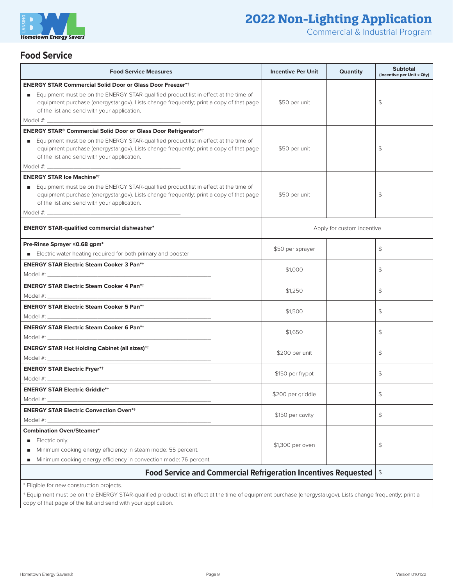

Commercial & Industrial Program

### **Food Service**

| <b>Food Service Measures</b>                                                                                                                                                                                                         |  | <b>Incentive Per Unit</b>  | <b>Quantity</b> | <b>Subtotal</b><br>(Incentive per Unit x Qty) |
|--------------------------------------------------------------------------------------------------------------------------------------------------------------------------------------------------------------------------------------|--|----------------------------|-----------------|-----------------------------------------------|
| <b>ENERGY STAR Commercial Solid Door or Glass Door Freezer**</b>                                                                                                                                                                     |  |                            |                 |                                               |
| Equipment must be on the ENERGY STAR-qualified product list in effect at the time of<br>٠<br>equipment purchase (energystar.gov). Lists change frequently; print a copy of that page<br>of the list and send with your application.  |  | \$50 per unit              |                 | \$                                            |
| Model #: experience and a series of the series of the series of the series of the series of the series of the series of the series of the series of the series of the series of the series of the series of the series of the        |  |                            |                 |                                               |
| <b>ENERGY STAR<sup>®</sup> Commercial Solid Door or Glass Door Refrigerator*+</b>                                                                                                                                                    |  |                            |                 |                                               |
| Equipment must be on the ENERGY STAR-qualified product list in effect at the time of<br>п.<br>equipment purchase (energystar.gov). Lists change frequently; print a copy of that page<br>of the list and send with your application. |  | \$50 per unit              |                 | \$                                            |
|                                                                                                                                                                                                                                      |  |                            |                 |                                               |
| <b>ENERGY STAR Ice Machine*+</b>                                                                                                                                                                                                     |  |                            |                 |                                               |
| Equipment must be on the ENERGY STAR-qualified product list in effect at the time of<br>equipment purchase (energystar.gov). Lists change frequently; print a copy of that page<br>of the list and send with your application.       |  | \$50 per unit              |                 | \$                                            |
|                                                                                                                                                                                                                                      |  |                            |                 |                                               |
| <b>ENERGY STAR-qualified commercial dishwasher*</b>                                                                                                                                                                                  |  | Apply for custom incentive |                 |                                               |
| Pre-Rinse Sprayer ≤0.68 gpm*                                                                                                                                                                                                         |  | \$50 per sprayer           |                 | \$                                            |
| Electric water heating required for both primary and booster                                                                                                                                                                         |  |                            |                 |                                               |
| <b>ENERGY STAR Electric Steam Cooker 3 Pan*+</b>                                                                                                                                                                                     |  | \$1,000                    |                 | \$                                            |
|                                                                                                                                                                                                                                      |  |                            |                 |                                               |
| <b>ENERGY STAR Electric Steam Cooker 4 Pan*+</b>                                                                                                                                                                                     |  | \$1,250                    |                 | \$                                            |
|                                                                                                                                                                                                                                      |  |                            |                 |                                               |
| <b>ENERGY STAR Electric Steam Cooker 5 Pan*+</b>                                                                                                                                                                                     |  | \$1,500                    |                 | \$                                            |
|                                                                                                                                                                                                                                      |  |                            |                 |                                               |
| <b>ENERGY STAR Electric Steam Cooker 6 Pan*+</b>                                                                                                                                                                                     |  | \$1,650                    |                 | \$                                            |
| <b>ENERGY STAR Hot Holding Cabinet (all sizes)*+</b>                                                                                                                                                                                 |  |                            |                 |                                               |
|                                                                                                                                                                                                                                      |  | \$200 per unit             |                 | \$                                            |
| <b>ENERGY STAR Electric Fryer*+</b>                                                                                                                                                                                                  |  |                            |                 |                                               |
|                                                                                                                                                                                                                                      |  | \$150 per frypot           |                 | \$                                            |
| <b>ENERGY STAR Electric Griddle*+</b>                                                                                                                                                                                                |  |                            |                 |                                               |
| Model #:                                                                                                                                                                                                                             |  | \$200 per griddle          |                 | \$                                            |
| <b>ENERGY STAR Electric Convection Oven*+</b>                                                                                                                                                                                        |  |                            |                 |                                               |
| Model $\#:$ $\_$                                                                                                                                                                                                                     |  | \$150 per cavity           |                 | \$                                            |
| <b>Combination Oven/Steamer*</b>                                                                                                                                                                                                     |  |                            |                 |                                               |
| Electric only.                                                                                                                                                                                                                       |  | \$1,300 per oven           |                 | \$                                            |
| Minimum cooking energy efficiency in steam mode: 55 percent.                                                                                                                                                                         |  |                            |                 |                                               |
| Minimum cooking energy efficiency in convection mode: 76 percent.                                                                                                                                                                    |  |                            |                 |                                               |
| <b>Food Service and Commercial Refrigeration Incentives Requested</b>                                                                                                                                                                |  |                            |                 | $\frac{1}{2}$                                 |
| * Eligible for new construction projects.                                                                                                                                                                                            |  |                            |                 |                                               |
| + Equipment must be on the ENERGY STAR-qualified product list in effect at the time of equipment purchase (energystar.gov). Lists change frequently; print a                                                                         |  |                            |                 |                                               |
| copy of that page of the list and send with your application.                                                                                                                                                                        |  |                            |                 |                                               |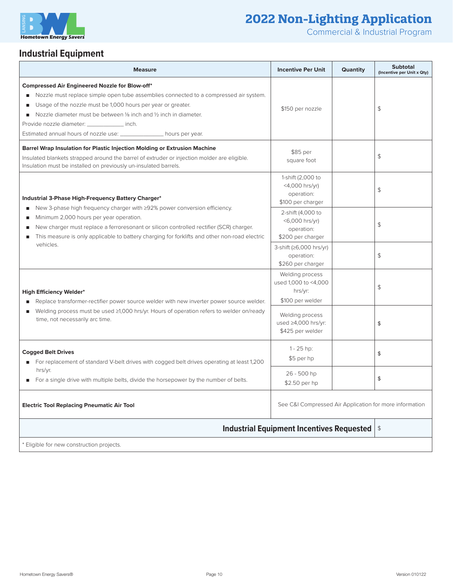

Commercial & Industrial Program

## **Industrial Equipment**

| <b>Measure</b>                                                                                                                                                                                                                                                                                                                                                                                                                         | <b>Incentive Per Unit</b>                                                 | <b>Quantity</b> | <b>Subtotal</b><br>(Incentive per Unit x Qty) |
|----------------------------------------------------------------------------------------------------------------------------------------------------------------------------------------------------------------------------------------------------------------------------------------------------------------------------------------------------------------------------------------------------------------------------------------|---------------------------------------------------------------------------|-----------------|-----------------------------------------------|
| <b>Compressed Air Engineered Nozzle for Blow-off*</b><br>Nozzle must replace simple open tube assemblies connected to a compressed air system.<br>$\blacksquare$<br>Usage of the nozzle must be 1,000 hours per year or greater.<br>Nozzle diameter must be between 1/8 inch and 1/2 inch in diameter.<br>٠<br>Provide nozzle diameter: _____________ inch.<br>Estimated annual hours of nozzle use: _________________ hours per year. | \$150 per nozzle                                                          |                 | \$                                            |
| Barrel Wrap Insulation for Plastic Injection Molding or Extrusion Machine<br>Insulated blankets strapped around the barrel of extruder or injection molder are eligible.<br>Insulation must be installed on previously un-insulated barrels.                                                                                                                                                                                           | \$85 per<br>square foot                                                   |                 | $\updownarrow$                                |
| Industrial 3-Phase High-Frequency Battery Charger*<br>New 3-phase high frequency charger with ≥92% power conversion efficiency.<br>$\blacksquare$<br>Minimum 2,000 hours per year operation.<br>п<br>New charger must replace a ferroresonant or silicon controlled rectifier (SCR) charger.<br>п<br>This measure is only applicable to battery charging for forklifts and other non-road electric<br>٠<br>vehicles.                   | 1-shift (2,000 to<br>$<$ 4,000 hrs/yr)<br>operation:<br>\$100 per charger |                 | \$                                            |
|                                                                                                                                                                                                                                                                                                                                                                                                                                        | 2-shift (4,000 to<br><6,000 hrs/yr)<br>operation:<br>\$200 per charger    |                 | $\updownarrow$                                |
|                                                                                                                                                                                                                                                                                                                                                                                                                                        | 3-shift (≥6,000 hrs/yr)<br>operation:<br>\$260 per charger                |                 | $\updownarrow$                                |
| <b>High Efficiency Welder*</b><br>Replace transformer-rectifier power source welder with new inverter power source welder.<br>Welding process must be used ≥1,000 hrs/yr. Hours of operation refers to welder on/ready<br>п<br>time, not necessarily arc time.                                                                                                                                                                         | Welding process<br>used 1,000 to <4,000<br>hrs/yr:<br>\$100 per welder    |                 | $\mathfrak{S}$                                |
|                                                                                                                                                                                                                                                                                                                                                                                                                                        | Welding process<br>used $\geq$ 4,000 hrs/yr:<br>\$425 per welder          |                 | \$                                            |
| <b>Cogged Belt Drives</b><br>For replacement of standard V-belt drives with cogged belt drives operating at least 1,200<br>$\blacksquare$<br>hrs/yr.<br>For a single drive with multiple belts, divide the horsepower by the number of belts.                                                                                                                                                                                          | $1 - 25$ hp:<br>\$5 per hp                                                |                 | \$                                            |
|                                                                                                                                                                                                                                                                                                                                                                                                                                        | 26 - 500 hp<br>\$2.50 per hp                                              |                 | \$                                            |
| <b>Electric Tool Replacing Pneumatic Air Tool</b>                                                                                                                                                                                                                                                                                                                                                                                      | See C&I Compressed Air Application for more information                   |                 |                                               |
|                                                                                                                                                                                                                                                                                                                                                                                                                                        | <b>Industrial Equipment Incentives Requested</b>                          |                 | $\frac{4}{3}$                                 |
| * Eligible for new construction projects.                                                                                                                                                                                                                                                                                                                                                                                              |                                                                           |                 |                                               |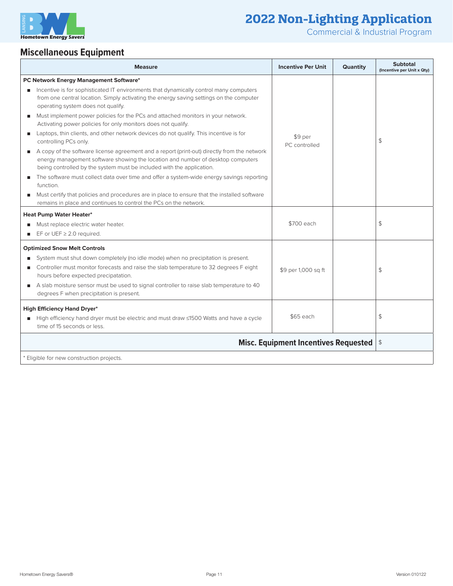

Commercial & Industrial Program

 $\overline{\phantom{a}}$ 

## **Miscellaneous Equipment**

| <b>Measure</b>                                                                                                                                                                                                                                          | <b>Incentive Per Unit</b> | <b>Quantity</b> | <b>Subtotal</b><br>(Incentive per Unit x Qty) |
|---------------------------------------------------------------------------------------------------------------------------------------------------------------------------------------------------------------------------------------------------------|---------------------------|-----------------|-----------------------------------------------|
| PC Network Energy Management Software*                                                                                                                                                                                                                  |                           |                 |                                               |
| Incentive is for sophisticated IT environments that dynamically control many computers<br>from one central location. Simply activating the energy saving settings on the computer<br>operating system does not qualify.                                 |                           |                 |                                               |
| Must implement power policies for the PCs and attached monitors in your network.<br>Activating power policies for only monitors does not qualify.                                                                                                       | \$9 per<br>PC controlled  |                 | \$                                            |
| Laptops, thin clients, and other network devices do not qualify. This incentive is for<br>controlling PCs only.                                                                                                                                         |                           |                 |                                               |
| A copy of the software license agreement and a report (print-out) directly from the network<br>energy management software showing the location and number of desktop computers<br>being controlled by the system must be included with the application. |                           |                 |                                               |
| The software must collect data over time and offer a system-wide energy savings reporting<br>function.                                                                                                                                                  |                           |                 |                                               |
| Must certify that policies and procedures are in place to ensure that the installed software<br>remains in place and continues to control the PCs on the network.                                                                                       |                           |                 |                                               |
| <b>Heat Pump Water Heater*</b>                                                                                                                                                                                                                          |                           |                 |                                               |
| Must replace electric water heater.                                                                                                                                                                                                                     | \$700 each                |                 | \$                                            |
| EF or UEF $\geq$ 2.0 required.<br>٠                                                                                                                                                                                                                     |                           |                 |                                               |
| <b>Optimized Snow Melt Controls</b>                                                                                                                                                                                                                     |                           |                 |                                               |
| System must shut down completely (no idle mode) when no precipitation is present.                                                                                                                                                                       |                           |                 |                                               |
| Controller must monitor forecasts and raise the slab temperature to 32 degrees F eight<br>hours before expected precipatation.                                                                                                                          | \$9 per 1,000 sq ft       |                 | \$                                            |
| A slab moisture sensor must be used to signal controller to raise slab temperature to 40<br>degrees F when precipitation is present.                                                                                                                    |                           |                 |                                               |
| <b>High Efficiency Hand Dryer*</b>                                                                                                                                                                                                                      |                           |                 |                                               |
| High efficiency hand dryer must be electric and must draw <1500 Watts and have a cycle<br>time of 15 seconds or less.                                                                                                                                   | \$65 each                 |                 | \$                                            |
| <b>Misc. Equipment Incentives Requested</b>                                                                                                                                                                                                             |                           |                 | $\frac{1}{2}$                                 |
| * Eligible for new construction projects.                                                                                                                                                                                                               |                           |                 |                                               |